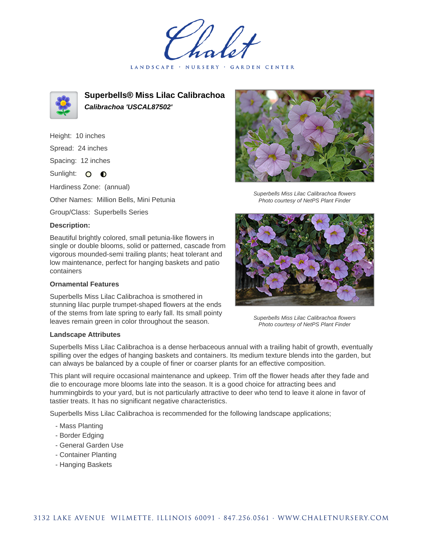LANDSCAPE · NURSERY · GARDEN CENTER



**Superbells® Miss Lilac Calibrachoa Calibrachoa 'USCAL87502'**

Height: 10 inches

Spread: 24 inches

Spacing: 12 inches

Sunlight: O **O** 

Hardiness Zone: (annual)

Other Names: Million Bells, Mini Petunia

Group/Class: Superbells Series

## **Description:**

Beautiful brightly colored, small petunia-like flowers in single or double blooms, solid or patterned, cascade from vigorous mounded-semi trailing plants; heat tolerant and low maintenance, perfect for hanging baskets and patio containers

## **Ornamental Features**

Superbells Miss Lilac Calibrachoa is smothered in stunning lilac purple trumpet-shaped flowers at the ends of the stems from late spring to early fall. Its small pointy leaves remain green in color throughout the season.

## **Landscape Attributes**

Superbells Miss Lilac Calibrachoa is a dense herbaceous annual with a trailing habit of growth, eventually spilling over the edges of hanging baskets and containers. Its medium texture blends into the garden, but can always be balanced by a couple of finer or coarser plants for an effective composition.

This plant will require occasional maintenance and upkeep. Trim off the flower heads after they fade and die to encourage more blooms late into the season. It is a good choice for attracting bees and hummingbirds to your yard, but is not particularly attractive to deer who tend to leave it alone in favor of tastier treats. It has no significant negative characteristics.

Superbells Miss Lilac Calibrachoa is recommended for the following landscape applications;

- Mass Planting
- Border Edging
- General Garden Use
- Container Planting
- Hanging Baskets



Superbells Miss Lilac Calibrachoa flowers Photo courtesy of NetPS Plant Finder



Superbells Miss Lilac Calibrachoa flowers Photo courtesy of NetPS Plant Finder